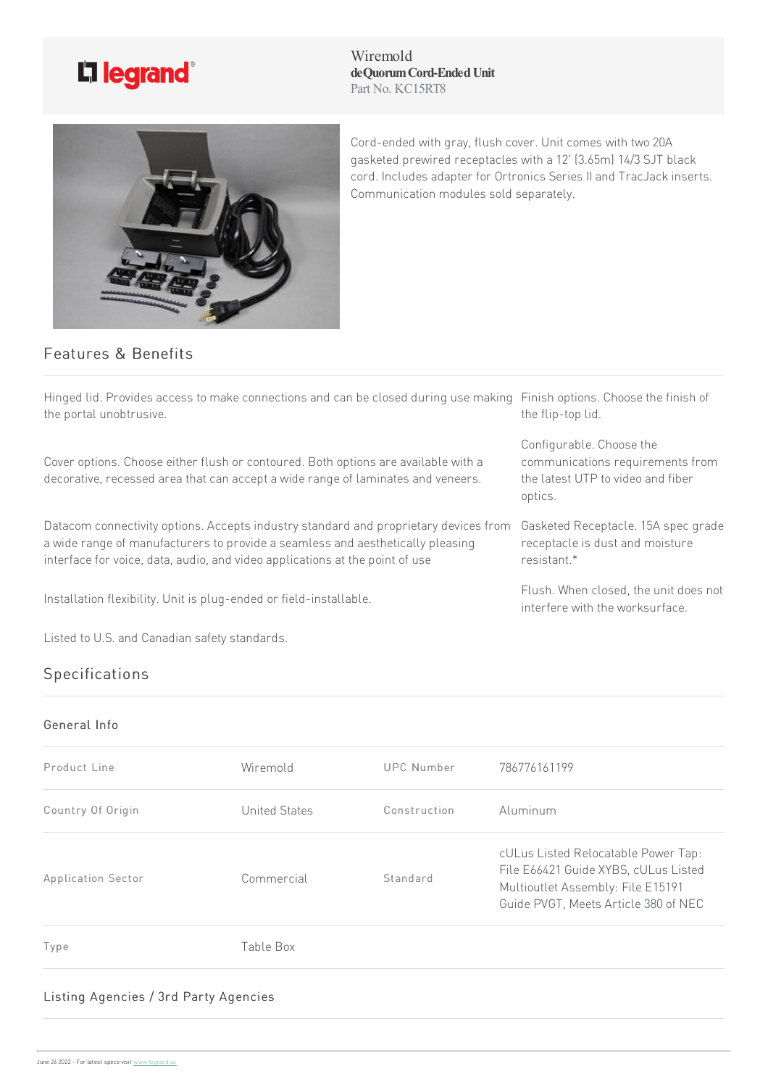

Wiremold **deQuorumCord-EndedUnit** Part No. KC15RT8



Cord-ended with gray, flush cover. Unit comes with two 20A gasketed prewired receptacles with a 12' (3.65m) 14/3 SJT black cord. Includes adapter for Ortronics Series II and TracJack inserts. Communication modules sold separately.

Configurable. Choose the

optics.

resistant.\*

communications requirements from the latest UTP to video and fiber

Gasketed Receptacle. 15A spec grade receptacle is dust and moisture

Flush. When closed, the unit does not interfere with the worksurface

## Features & Benefits

Hinged lid. Provides access to make connections and can be closed during use making Finish options. Choose the finish of the portal unobtrusive. the flip-top lid.

Cover options. Choose either flush or contoured. Both options are available with a decorative, recessed area that can accept a wide range of laminates and veneers.

Datacom connectivity options. Accepts industry standard and proprietary devices from a wide range of manufacturers to provide a seamless and aesthetically pleasing interface for voice, data, audio, and video applications at the point of use

Installation flexibility. Unit is plug-ended or field-installable.

Listed to U.S. and Canadian safety standards.

## Specifications

General Info

| Wiremold      | UPC Number   | 786776161199                                                                                                                                             |
|---------------|--------------|----------------------------------------------------------------------------------------------------------------------------------------------------------|
| United States | Construction | Aluminum                                                                                                                                                 |
| Commercial    | Standard     | cULus Listed Relocatable Power Tap:<br>File E66421 Guide XYBS, cULus Listed<br>Multioutlet Assembly: File E15191<br>Guide PVGT, Meets Article 380 of NEC |
| Table Box     |              |                                                                                                                                                          |
|               |              |                                                                                                                                                          |

## Listing Agencies / 3rd Party Agencies